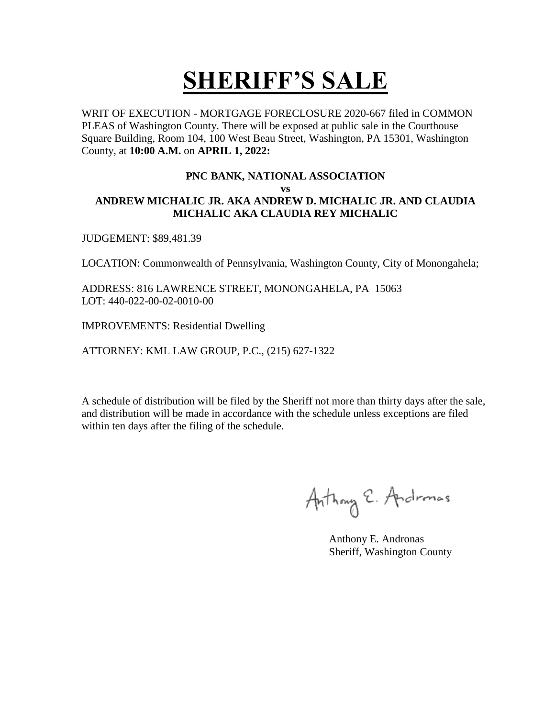WRIT OF EXECUTION - MORTGAGE FORECLOSURE 2020-667 filed in COMMON PLEAS of Washington County. There will be exposed at public sale in the Courthouse Square Building, Room 104, 100 West Beau Street, Washington, PA 15301, Washington County, at **10:00 A.M.** on **APRIL 1, 2022:** 

#### **PNC BANK, NATIONAL ASSOCIATION**

**vs**

#### **ANDREW MICHALIC JR. AKA ANDREW D. MICHALIC JR. AND CLAUDIA MICHALIC AKA CLAUDIA REY MICHALIC**

JUDGEMENT: \$89,481.39

LOCATION: Commonwealth of Pennsylvania, Washington County, City of Monongahela;

ADDRESS: 816 LAWRENCE STREET, MONONGAHELA, PA 15063 LOT: 440-022-00-02-0010-00

IMPROVEMENTS: Residential Dwelling

ATTORNEY: KML LAW GROUP, P.C., (215) 627-1322

Anthony E. Andromas

 Anthony E. Andronas Sheriff, Washington County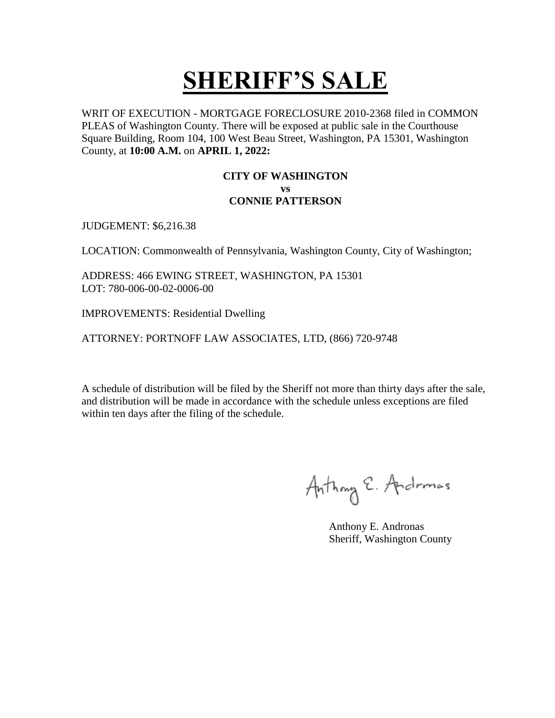WRIT OF EXECUTION - MORTGAGE FORECLOSURE 2010-2368 filed in COMMON PLEAS of Washington County. There will be exposed at public sale in the Courthouse Square Building, Room 104, 100 West Beau Street, Washington, PA 15301, Washington County, at **10:00 A.M.** on **APRIL 1, 2022:** 

#### **CITY OF WASHINGTON vs CONNIE PATTERSON**

JUDGEMENT: \$6,216.38

LOCATION: Commonwealth of Pennsylvania, Washington County, City of Washington;

ADDRESS: 466 EWING STREET, WASHINGTON, PA 15301 LOT: 780-006-00-02-0006-00

IMPROVEMENTS: Residential Dwelling

ATTORNEY: PORTNOFF LAW ASSOCIATES, LTD, (866) 720-9748

Anthony E. Andromas

 Anthony E. Andronas Sheriff, Washington County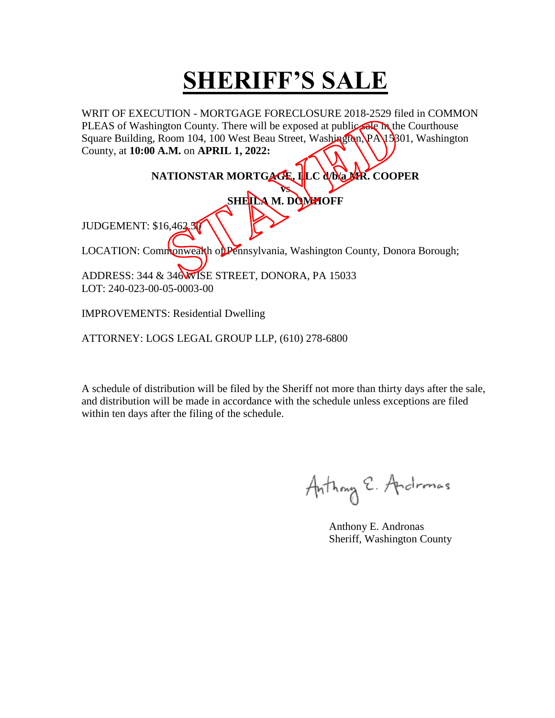WRIT OF EXECUTION - MORTGAGE FORECLOSURE 2018-2529 filed in COMMON PLEAS of Washington County. There will be exposed at public are in the Courthouse Square Building, Room 104, 100 West Beau Street, Washington, PA 15301, Washington County, at **10:00 A.M.** on **APRIL 1, 2022:** 

#### **NATIONSTAR MORTGAGE, LLC Q/b/a MR. COOPER**

**vs SHEILA M. DOMHOFF**

JUDGEMENT: \$16,462

LOCATION: Commonwealth of Pennsylvania, Washington County, Donora Borough;

ADDRESS: 344 & 346 WISE STREET, DONORA, PA 15033 LOT: 240-023-00-05-0003-00

IMPROVEMENTS: Residential Dwelling

ATTORNEY: LOGS LEGAL GROUP LLP, (610) 278-6800

Anthony E. Andromas

 Anthony E. Andronas Sheriff, Washington County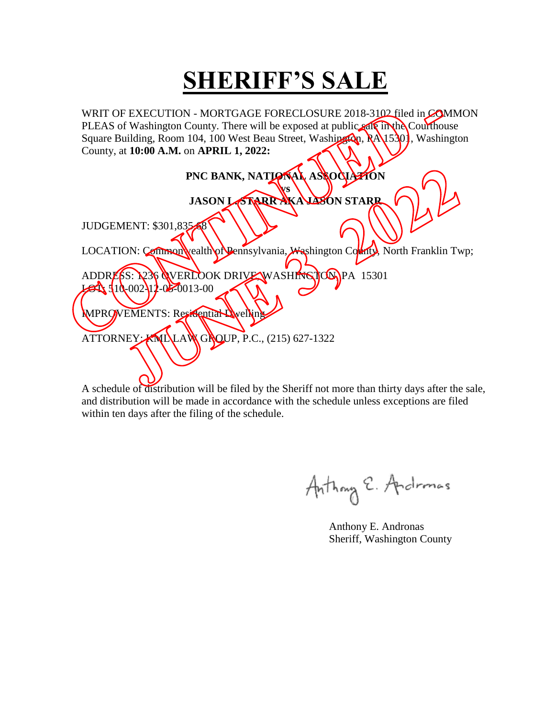WRIT OF EXECUTION - MORTGAGE FORECLOSURE 2018-3102 filed in COMMON PLEAS of Washington County. There will be exposed at public sale in the Courthouse Square Building, Room 104, 100 West Beau Street, Washington, RA 15301, Washington County, at **10:00 A.M.** on **APRIL 1, 2022:** 

| PNC BANK, NATIONAL ASSOCIATION                                                   |
|----------------------------------------------------------------------------------|
| VS<br>JASON LORRAKA LASON STARR                                                  |
| JUDGEMENT: \$301,835                                                             |
| LOCATION: Commonwealth of Pennsylvania, Washington Collecty, North Franklin Twp; |
| ADDRESS: 236 WVERLOOK DRIVE WASHINGTONPA 15301<br>$310-00211-05-0013-00$         |
| MPROVEMENTS: Residential Wyelling                                                |
| ATTORNEY: KNILLAWGNOUP, P.C., (215) 627-1322                                     |
|                                                                                  |
|                                                                                  |

Anthony E. Andronas

 Anthony E. Andronas Sheriff, Washington County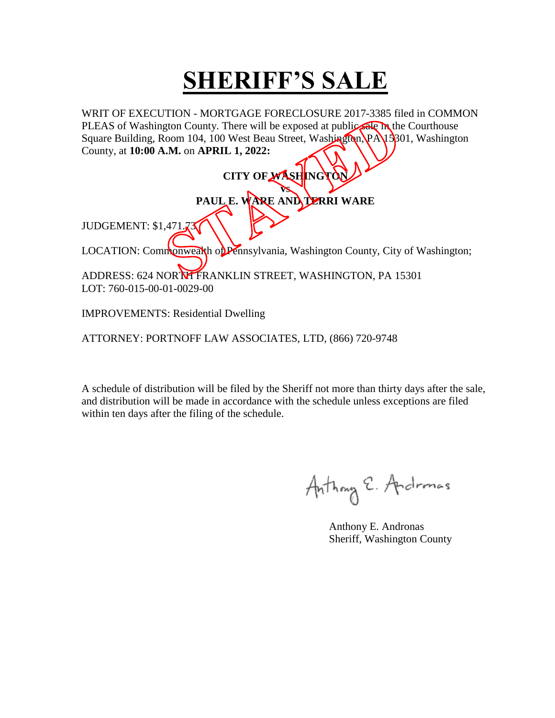WRIT OF EXECUTION - MORTGAGE FORECLOSURE 2017-3385 filed in COMMON PLEAS of Washington County. There will be exposed at public are in the Courthouse Square Building, Room 104, 100 West Beau Street, Washington, PA 15301, Washington County, at **10:00 A.M.** on **APRIL 1, 2022:** 

| CITY OF WASHINGTON                                                             |
|--------------------------------------------------------------------------------|
| PAUL E. WARE AND DERRI WARE                                                    |
|                                                                                |
| <b>JUDGEMENT: \$1,471.73</b>                                                   |
| LOCATION: Commonwealth of Pennsylvania, Washington County, City of Washington; |
| ADDRESS: 624 NORTH FRANKLIN STREET, WASHINGTON, PA 15301                       |
| LOT: 760-015-00-01-0029-00                                                     |

IMPROVEMENTS: Residential Dwelling

ATTORNEY: PORTNOFF LAW ASSOCIATES, LTD, (866) 720-9748

Anthony E. Andronas

 Anthony E. Andronas Sheriff, Washington County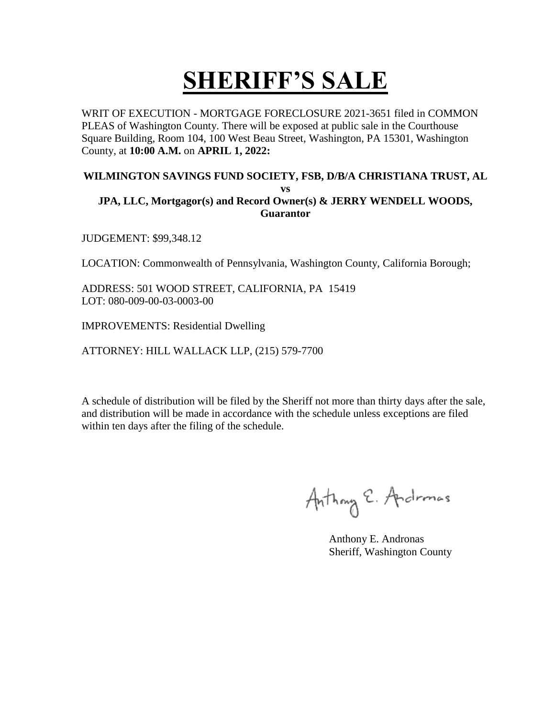WRIT OF EXECUTION - MORTGAGE FORECLOSURE 2021-3651 filed in COMMON PLEAS of Washington County. There will be exposed at public sale in the Courthouse Square Building, Room 104, 100 West Beau Street, Washington, PA 15301, Washington County, at **10:00 A.M.** on **APRIL 1, 2022:** 

#### **WILMINGTON SAVINGS FUND SOCIETY, FSB, D/B/A CHRISTIANA TRUST, AL**

#### **vs JPA, LLC, Mortgagor(s) and Record Owner(s) & JERRY WENDELL WOODS, Guarantor**

JUDGEMENT: \$99,348.12

LOCATION: Commonwealth of Pennsylvania, Washington County, California Borough;

ADDRESS: 501 WOOD STREET, CALIFORNIA, PA 15419 LOT: 080-009-00-03-0003-00

IMPROVEMENTS: Residential Dwelling

ATTORNEY: HILL WALLACK LLP, (215) 579-7700

Anthony E. Andromas

 Anthony E. Andronas Sheriff, Washington County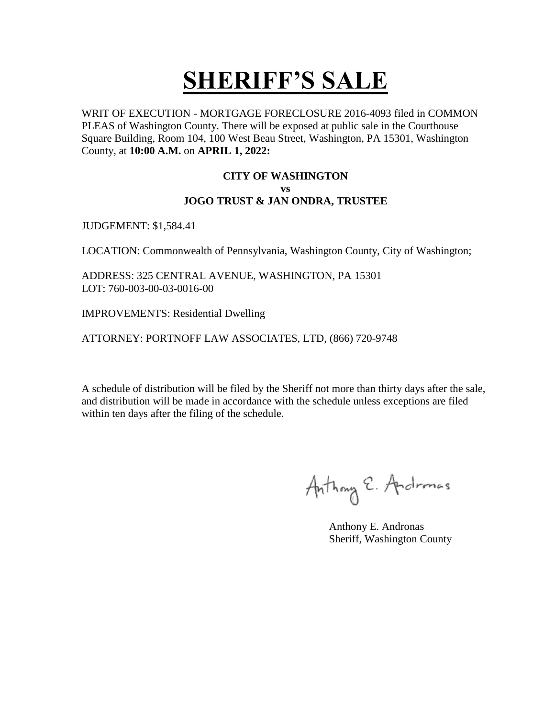WRIT OF EXECUTION - MORTGAGE FORECLOSURE 2016-4093 filed in COMMON PLEAS of Washington County. There will be exposed at public sale in the Courthouse Square Building, Room 104, 100 West Beau Street, Washington, PA 15301, Washington County, at **10:00 A.M.** on **APRIL 1, 2022:** 

#### **CITY OF WASHINGTON vs JOGO TRUST & JAN ONDRA, TRUSTEE**

JUDGEMENT: \$1,584.41

LOCATION: Commonwealth of Pennsylvania, Washington County, City of Washington;

ADDRESS: 325 CENTRAL AVENUE, WASHINGTON, PA 15301 LOT: 760-003-00-03-0016-00

IMPROVEMENTS: Residential Dwelling

ATTORNEY: PORTNOFF LAW ASSOCIATES, LTD, (866) 720-9748

Anthony E. Andromas

 Anthony E. Andronas Sheriff, Washington County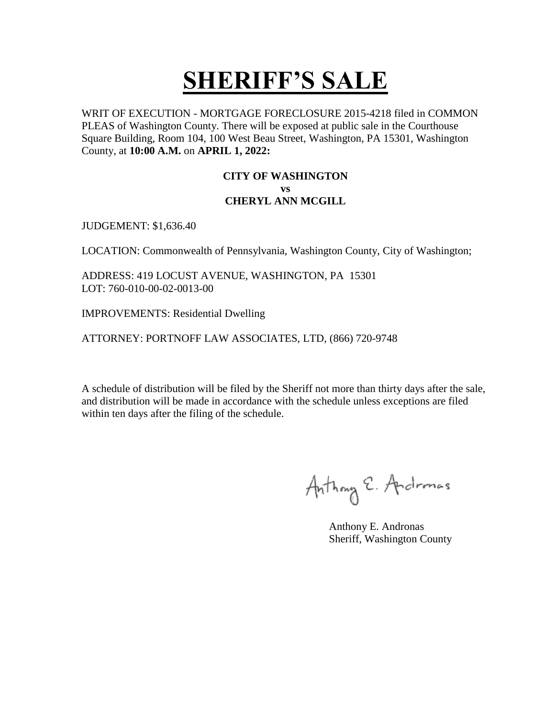WRIT OF EXECUTION - MORTGAGE FORECLOSURE 2015-4218 filed in COMMON PLEAS of Washington County. There will be exposed at public sale in the Courthouse Square Building, Room 104, 100 West Beau Street, Washington, PA 15301, Washington County, at **10:00 A.M.** on **APRIL 1, 2022:** 

#### **CITY OF WASHINGTON vs CHERYL ANN MCGILL**

JUDGEMENT: \$1,636.40

LOCATION: Commonwealth of Pennsylvania, Washington County, City of Washington;

ADDRESS: 419 LOCUST AVENUE, WASHINGTON, PA 15301 LOT: 760-010-00-02-0013-00

IMPROVEMENTS: Residential Dwelling

ATTORNEY: PORTNOFF LAW ASSOCIATES, LTD, (866) 720-9748

Anthony E. Andromas

 Anthony E. Andronas Sheriff, Washington County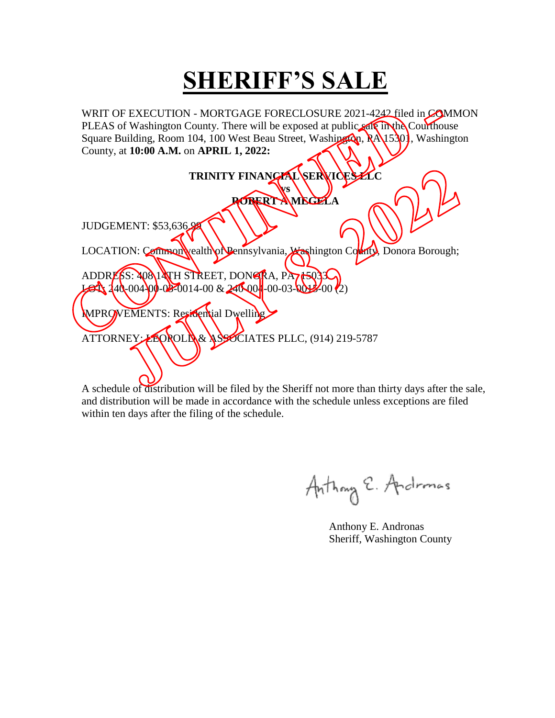WRIT OF EXECUTION - MORTGAGE FORECLOSURE 2021-4242 filed in COMMON PLEAS of Washington County. There will be exposed at public sale in the Courthouse Square Building, Room 104, 100 West Beau Street, Washington, RA 15301, Washington County, at **10:00 A.M.** on **APRIL 1, 2022:**   $\sim$  11

|                                                                                     | TRINITY FINANCIAL SERVICES ZLC |  |
|-------------------------------------------------------------------------------------|--------------------------------|--|
|                                                                                     | VS                             |  |
|                                                                                     | <b>ROBERT AMEGELA</b>          |  |
|                                                                                     |                                |  |
| JUDGEMENT: \$53,636.98                                                              |                                |  |
| LOCATION: Common vealth of Pennsylvania, <i>X</i> ashington County, Donora Borough; |                                |  |
|                                                                                     |                                |  |
| ADDRESS: 40814TH STREET, DONGRA, PA715033                                           |                                |  |
| $\cancel{\mathcal{L}}$ $\frac{140}{00400}$ 02-0014-00 & 240-004-00-03-0012-00       |                                |  |
| MPROVEMENTS: Residential Dwelling                                                   |                                |  |
|                                                                                     |                                |  |
| ATTORNEY: LEOROLIA& ASSOCIATES PLLC, (914) 219-5787                                 |                                |  |
|                                                                                     |                                |  |
|                                                                                     |                                |  |
|                                                                                     |                                |  |

Anthony E. Andronas

 Anthony E. Andronas Sheriff, Washington County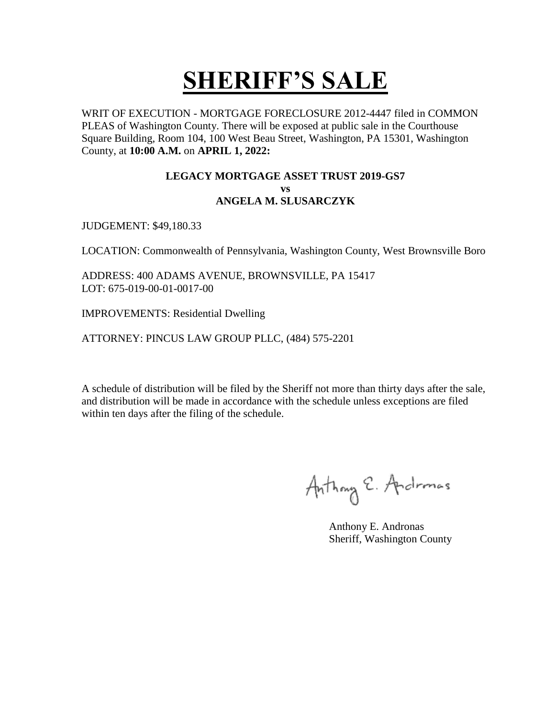WRIT OF EXECUTION - MORTGAGE FORECLOSURE 2012-4447 filed in COMMON PLEAS of Washington County. There will be exposed at public sale in the Courthouse Square Building, Room 104, 100 West Beau Street, Washington, PA 15301, Washington County, at **10:00 A.M.** on **APRIL 1, 2022:** 

#### **LEGACY MORTGAGE ASSET TRUST 2019-GS7 vs ANGELA M. SLUSARCZYK**

JUDGEMENT: \$49,180.33

LOCATION: Commonwealth of Pennsylvania, Washington County, West Brownsville Boro

ADDRESS: 400 ADAMS AVENUE, BROWNSVILLE, PA 15417 LOT: 675-019-00-01-0017-00

IMPROVEMENTS: Residential Dwelling

ATTORNEY: PINCUS LAW GROUP PLLC, (484) 575-2201

Anthony E. Andromas

 Anthony E. Andronas Sheriff, Washington County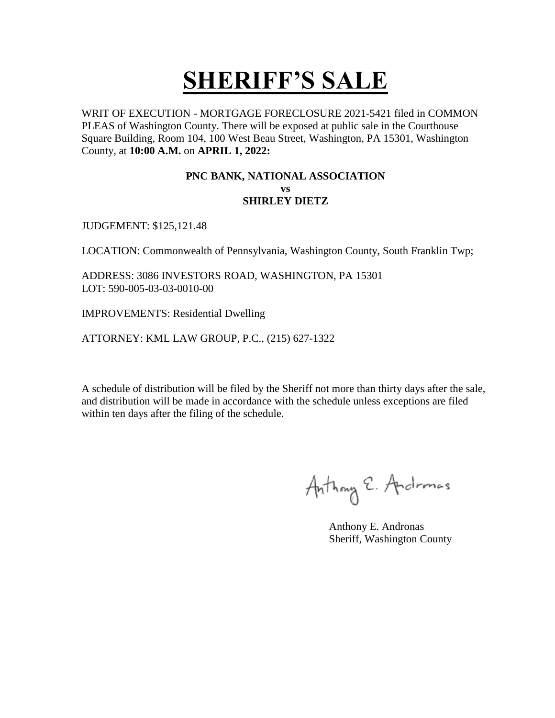WRIT OF EXECUTION - MORTGAGE FORECLOSURE 2021-5421 filed in COMMON PLEAS of Washington County. There will be exposed at public sale in the Courthouse Square Building, Room 104, 100 West Beau Street, Washington, PA 15301, Washington County, at **10:00 A.M.** on **APRIL 1, 2022:** 

#### **PNC BANK, NATIONAL ASSOCIATION vs SHIRLEY DIETZ**

JUDGEMENT: \$125,121.48

LOCATION: Commonwealth of Pennsylvania, Washington County, South Franklin Twp;

ADDRESS: 3086 INVESTORS ROAD, WASHINGTON, PA 15301 LOT: 590-005-03-03-0010-00

IMPROVEMENTS: Residential Dwelling

ATTORNEY: KML LAW GROUP, P.C., (215) 627-1322

Anthony E. Andromas

 Anthony E. Andronas Sheriff, Washington County